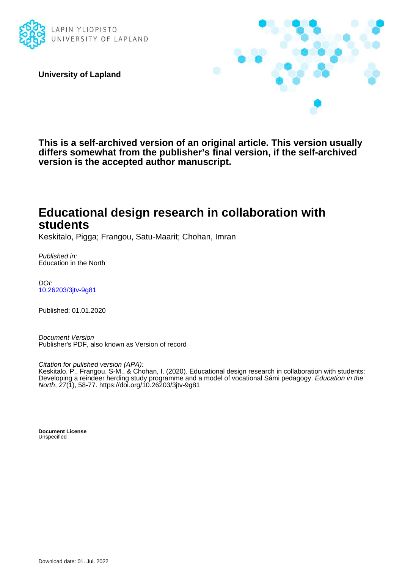

**University of Lapland**



**This is a self-archived version of an original article. This version usually differs somewhat from the publisher's final version, if the self-archived version is the accepted author manuscript.**

# **Educational design research in collaboration with students**

Keskitalo, Pigga; Frangou, Satu-Maarit; Chohan, Imran

Published in: Education in the North

DOI: [10.26203/3jtv-9g81](https://doi.org/10.26203/3jtv-9g81)

Published: 01.01.2020

Document Version Publisher's PDF, also known as Version of record

Citation for pulished version (APA):

Keskitalo, P., Frangou, S-M., & Chohan, I. (2020). Educational design research in collaboration with students: Developing a reindeer herding study programme and a model of vocational Sámi pedagogy. Education in the North, 27(1), 58-77.<https://doi.org/10.26203/3jtv-9g81>

**Document License Unspecified**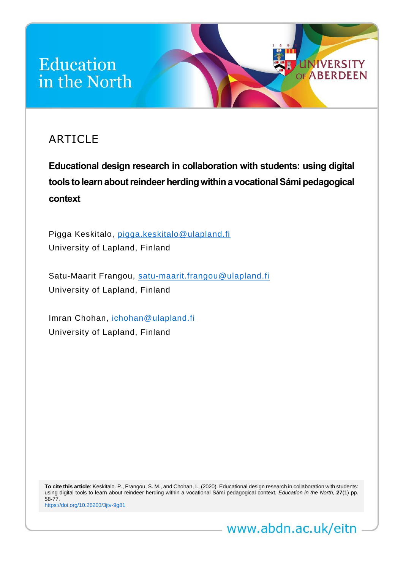# Education in the North

# ARTICLE

**Educational design research in collaboration with students: using digital tools to learn about reindeer herding within a vocational Sámi pedagogical context**

*Education in the North* **27**(1) (2020) <http://www.abdn.ac.uk/eitn> 1

**UNIVERSITY** OF ABERDEEN

Pigga Keskitalo, [pigga.keskitalo@ulapland.fi](mailto:pigga.keskitalo@ulapland.fi) University of Lapland, Finland

Satu-Maarit Frangou, [satu-maarit.frangou@ulapland.fi](mailto:satu-maarit.frangou@ulapland.fi) University of Lapland, Finland

Imran Chohan, [ichohan@ulapland.fi](mailto:ichohan@ulapland.fi) University of Lapland, Finland

**To cite this article**: Keskitalo. P., Frangou, S. M., and Chohan, I., (2020). Educational design research in collaboration with students: using digital tools to learn about reindeer herding within a vocational Sámi pedagogical context*. Education in the North*, **27**(1) pp. 58-77. <https://doi.org/10.26203/3jtv-9g81>

www.abdn.ac.uk/eitn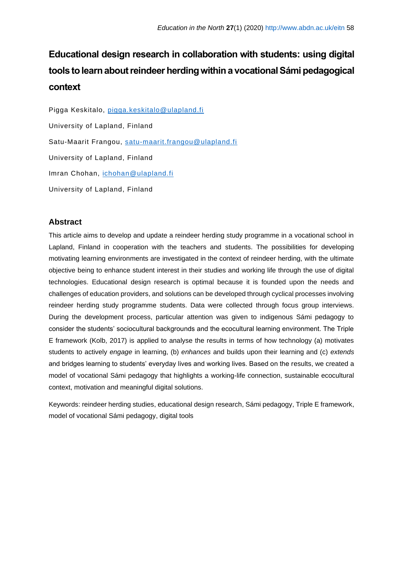# **Educational design research in collaboration with students: using digital tools to learn about reindeer herding within a vocational Sámi pedagogical context**

Pigga Keskitalo, [pigga.keskitalo@ulapland.fi](mailto:pigga.keskitalo@ulapland.fi) University of Lapland, Finland Satu-Maarit Frangou, [satu-maarit.frangou@ulapland.fi](mailto:satu-maarit.frangou@ulapland.fi) University of Lapland, Finland Imran Chohan, [ichohan@ulapland.fi](mailto:ichohan@ulapland.fi) University of Lapland, Finland

### **Abstract**

This article aims to develop and update a reindeer herding study programme in a vocational school in Lapland, Finland in cooperation with the teachers and students. The possibilities for developing motivating learning environments are investigated in the context of reindeer herding, with the ultimate objective being to enhance student interest in their studies and working life through the use of digital technologies. Educational design research is optimal because it is founded upon the needs and challenges of education providers, and solutions can be developed through cyclical processes involving reindeer herding study programme students. Data were collected through focus group interviews. During the development process, particular attention was given to indigenous Sámi pedagogy to consider the students' sociocultural backgrounds and the ecocultural learning environment. The Triple E framework (Kolb, 2017) is applied to analyse the results in terms of how technology (a) motivates students to actively *engage* in learning, (b) *enhances* and builds upon their learning and (c) *extends* and bridges learning to students' everyday lives and working lives. Based on the results, we created a model of vocational Sámi pedagogy that highlights a working-life connection, sustainable ecocultural context, motivation and meaningful digital solutions.

Keywords: reindeer herding studies, educational design research, Sámi pedagogy, Triple E framework, model of vocational Sámi pedagogy, digital tools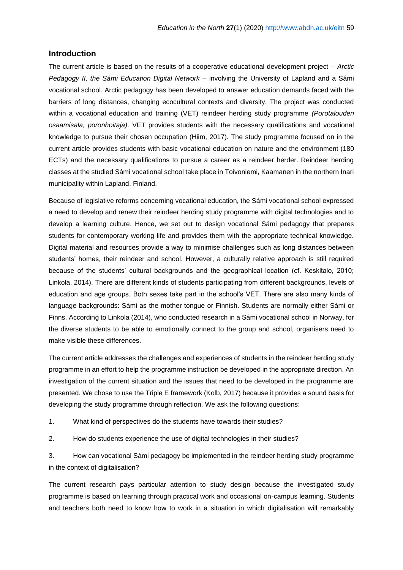#### **Introduction**

The current article is based on the results of a cooperative educational development project – *Arctic Pedagogy II, the Sámi Education Digital Network* – involving the University of Lapland and a Sámi vocational school. Arctic pedagogy has been developed to answer education demands faced with the barriers of long distances, changing ecocultural contexts and diversity. The project was conducted within a vocational education and training (VET) reindeer herding study programme *(Porotalouden osaamisala, poronhoitaja)*. VET provides students with the necessary qualifications and vocational knowledge to pursue their chosen occupation (Hiim, 2017). The study programme focused on in the current article provides students with basic vocational education on nature and the environment (180 ECTs) and the necessary qualifications to pursue a career as a reindeer herder. Reindeer herding classes at the studied Sámi vocational school take place in Toivoniemi, Kaamanen in the northern Inari municipality within Lapland, Finland.

Because of legislative reforms concerning vocational education, the Sámi vocational school expressed a need to develop and renew their reindeer herding study programme with digital technologies and to develop a learning culture. Hence, we set out to design vocational Sámi pedagogy that prepares students for contemporary working life and provides them with the appropriate technical knowledge. Digital material and resources provide a way to minimise challenges such as long distances between students' homes, their reindeer and school. However, a culturally relative approach is still required because of the students' cultural backgrounds and the geographical location (cf. Keskitalo, 2010; Linkola, 2014). There are different kinds of students participating from different backgrounds, levels of education and age groups. Both sexes take part in the school's VET. There are also many kinds of language backgrounds: Sámi as the mother tongue or Finnish. Students are normally either Sámi or Finns. According to Linkola (2014), who conducted research in a Sámi vocational school in Norway, for the diverse students to be able to emotionally connect to the group and school, organisers need to make visible these differences.

The current article addresses the challenges and experiences of students in the reindeer herding study programme in an effort to help the programme instruction be developed in the appropriate direction. An investigation of the current situation and the issues that need to be developed in the programme are presented. We chose to use the Triple E framework (Kolb, 2017) because it provides a sound basis for developing the study programme through reflection. We ask the following questions:

1. What kind of perspectives do the students have towards their studies?

2. How do students experience the use of digital technologies in their studies?

3. How can vocational Sámi pedagogy be implemented in the reindeer herding study programme in the context of digitalisation?

The current research pays particular attention to study design because the investigated study programme is based on learning through practical work and occasional on-campus learning. Students and teachers both need to know how to work in a situation in which digitalisation will remarkably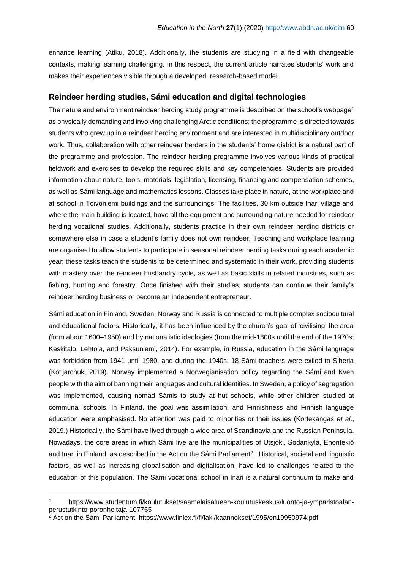enhance learning (Atiku, 2018). Additionally, the students are studying in a field with changeable contexts, making learning challenging. In this respect, the current article narrates students' work and makes their experiences visible through a developed, research-based model.

### **Reindeer herding studies, Sámi education and digital technologies**

The nature and environment reindeer herding study programme is described on the school's webpage<sup>1</sup> as physically demanding and involving challenging Arctic conditions; the programme is directed towards students who grew up in a reindeer herding environment and are interested in multidisciplinary outdoor work. Thus, collaboration with other reindeer herders in the students' home district is a natural part of the programme and profession. The reindeer herding programme involves various kinds of practical fieldwork and exercises to develop the required skills and key competencies. Students are provided information about nature, tools, materials, legislation, licensing, financing and compensation schemes, as well as Sámi language and mathematics lessons. Classes take place in nature, at the workplace and at school in Toivoniemi buildings and the surroundings. The facilities, 30 km outside Inari village and where the main building is located, have all the equipment and surrounding nature needed for reindeer herding vocational studies. Additionally, students practice in their own reindeer herding districts or somewhere else in case a student's family does not own reindeer. Teaching and workplace learning are organised to allow students to participate in seasonal reindeer herding tasks during each academic year; these tasks teach the students to be determined and systematic in their work, providing students with mastery over the reindeer husbandry cycle, as well as basic skills in related industries, such as fishing, hunting and forestry. Once finished with their studies, students can continue their family's reindeer herding business or become an independent entrepreneur.

Sámi education in Finland, Sweden, Norway and Russia is connected to multiple complex sociocultural and educational factors. Historically, it has been influenced by the church's goal of 'civilising' the area (from about 1600–1950) and by nationalistic ideologies (from the mid-1800s until the end of the 1970s; Keskitalo, Lehtola, and Paksuniemi, 2014). For example, in Russia, education in the Sámi language was forbidden from 1941 until 1980, and during the 1940s, 18 Sámi teachers were exiled to Siberia (Kotljarchuk, 2019). Norway implemented a Norwegianisation policy regarding the Sámi and Kven people with the aim of banning their languages and cultural identities. In Sweden, a policy of segregation was implemented, causing nomad Sámis to study at hut schools, while other children studied at communal schools. In Finland, the goal was assimilation, and Finnishness and Finnish language education were emphasised. No attention was paid to minorities or their issues (Kortekangas *et al*., 2019.) Historically, the Sámi have lived through a wide area of Scandinavia and the Russian Peninsula. Nowadays, the core areas in which Sámi live are the municipalities of Utsjoki, Sodankylä, Enontekiö and Inari in Finland, as described in the Act on the Sámi Parliament<sup>2</sup>. Historical, societal and linguistic factors, as well as increasing globalisation and digitalisation, have led to challenges related to the education of this population. The Sámi vocational school in Inari is a natural continuum to make and

<sup>1</sup> https://www.studentum.fi/koulutukset/saamelaisalueen-koulutuskeskus/luonto-ja-ymparistoalanperustutkinto-poronhoitaja-107765

<sup>2</sup> Act on the Sámi Parliament. https://www.finlex.fi/fi/laki/kaannokset/1995/en19950974.pdf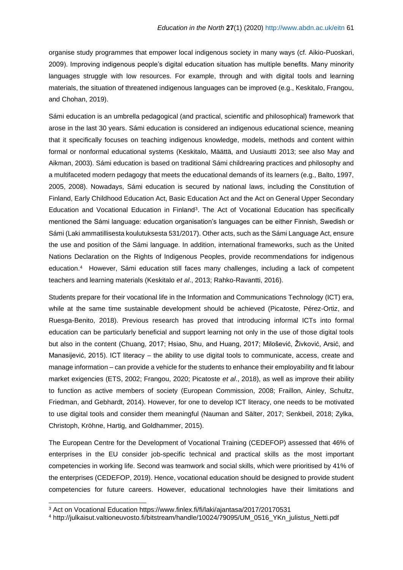organise study programmes that empower local indigenous society in many ways (cf. Aikio-Puoskari, 2009). Improving indigenous people's digital education situation has multiple benefits. Many minority languages struggle with low resources. For example, through and with digital tools and learning materials, the situation of threatened indigenous languages can be improved (e.g., Keskitalo, Frangou, and Chohan, 2019).

Sámi education is an umbrella pedagogical (and practical, scientific and philosophical) framework that arose in the last 30 years. Sámi education is considered an indigenous educational science, meaning that it specifically focuses on teaching indigenous knowledge, models, methods and content within formal or nonformal educational systems (Keskitalo, Määttä, and Uusiautti 2013; see also May and Aikman, 2003). Sámi education is based on traditional Sámi childrearing practices and philosophy and a multifaceted modern pedagogy that meets the educational demands of its learners (e.g., Balto, 1997, 2005, 2008). Nowadays, Sámi education is secured by national laws, including the Constitution of Finland, Early Childhood Education Act, Basic Education Act and the Act on General Upper Secondary Education and Vocational Education in Finland<sup>3</sup>. The Act of Vocational Education has specifically mentioned the Sámi language: education organisation's languages can be either Finnish, Swedish or Sámi (Laki ammatillisesta koulutuksesta 531/2017). Other acts, such as the Sámi Language Act, ensure the use and position of the Sámi language. In addition, international frameworks, such as the United Nations Declaration on the Rights of Indigenous Peoples, provide recommendations for indigenous education.<sup>4</sup> However, Sámi education still faces many challenges, including a lack of competent teachers and learning materials (Keskitalo *et al*., 2013; Rahko-Ravantti, 2016).

Students prepare for their vocational life in the Information and Communications Technology (ICT) era, while at the same time sustainable development should be achieved (Picatoste, Pérez-Ortiz, and Ruesga-Benito, 2018). Previous research has proved that introducing informal ICTs into formal education can be particularly beneficial and support learning not only in the use of those digital tools but also in the content (Chuang, 2017; Hsiao, Shu, and Huang, 2017; Milošević, Živković, Arsić, and Manasijević, 2015). ICT literacy – the ability to use digital tools to communicate, access, create and manage information – can provide a vehicle for the students to enhance their employability and fit labour market exigencies (ETS, 2002; Frangou, 2020; Picatoste *et al*., 2018), as well as improve their ability to function as active members of society (European Commission, 2008; Fraillon, Ainley, Schultz, Friedman, and Gebhardt, 2014). However, for one to develop ICT literacy, one needs to be motivated to use digital tools and consider them meaningful (Nauman and Sälter, 2017; Senkbeil, 2018; Zylka, Christoph, Kröhne, Hartig, and Goldhammer, 2015).

The European Centre for the Development of Vocational Training (CEDEFOP) assessed that 46% of enterprises in the EU consider job-specific technical and practical skills as the most important competencies in working life. Second was teamwork and social skills, which were prioritised by 41% of the enterprises (CEDEFOP, 2019). Hence, vocational education should be designed to provide student competencies for future careers. However, educational technologies have their limitations and

<sup>3</sup> Act on Vocational Education https://www.finlex.fi/fi/laki/ajantasa/2017/20170531

<sup>4</sup> http://julkaisut.valtioneuvosto.fi/bitstream/handle/10024/79095/UM\_0516\_YKn\_julistus\_Netti.pdf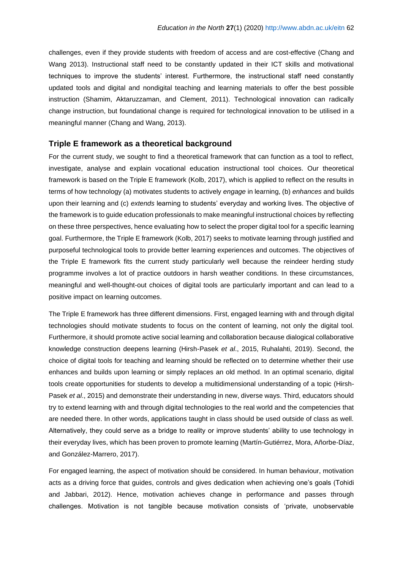challenges, even if they provide students with freedom of access and are cost-effective (Chang and Wang 2013). Instructional staff need to be constantly updated in their ICT skills and motivational techniques to improve the students' interest. Furthermore, the instructional staff need constantly updated tools and digital and nondigital teaching and learning materials to offer the best possible instruction (Shamim, Aktaruzzaman, and Clement, 2011). Technological innovation can radically change instruction, but foundational change is required for technological innovation to be utilised in a meaningful manner (Chang and Wang, 2013).

#### **Triple E framework as a theoretical background**

For the current study, we sought to find a theoretical framework that can function as a tool to reflect, investigate, analyse and explain vocational education instructional tool choices. Our theoretical framework is based on the Triple E framework (Kolb, 2017), which is applied to reflect on the results in terms of how technology (a) motivates students to actively *engage* in learning, (b) *enhances* and builds upon their learning and (c) *extends* learning to students' everyday and working lives. The objective of the framework is to guide education professionals to make meaningful instructional choices by reflecting on these three perspectives, hence evaluating how to select the proper digital tool for a specific learning goal. Furthermore, the Triple E framework (Kolb, 2017) seeks to motivate learning through justified and purposeful technological tools to provide better learning experiences and outcomes. The objectives of the Triple E framework fits the current study particularly well because the reindeer herding study programme involves a lot of practice outdoors in harsh weather conditions. In these circumstances, meaningful and well-thought-out choices of digital tools are particularly important and can lead to a positive impact on learning outcomes.

The Triple E framework has three different dimensions. First, engaged learning with and through digital technologies should motivate students to focus on the content of learning, not only the digital tool. Furthermore, it should promote active social learning and collaboration because dialogical collaborative knowledge construction deepens learning (Hirsh-Pasek *et al*., 2015, Ruhalahti, 2019). Second, the choice of digital tools for teaching and learning should be reflected on to determine whether their use enhances and builds upon learning or simply replaces an old method. In an optimal scenario, digital tools create opportunities for students to develop a multidimensional understanding of a topic (Hirsh-Pasek *et al*., 2015) and demonstrate their understanding in new, diverse ways. Third, educators should try to extend learning with and through digital technologies to the real world and the competencies that are needed there. In other words, applications taught in class should be used outside of class as well. Alternatively, they could serve as a bridge to reality or improve students' ability to use technology in their everyday lives, which has been proven to promote learning (Martín-Gutiérrez, Mora, Añorbe-Díaz, and González-Marrero, 2017).

For engaged learning, the aspect of motivation should be considered. In human behaviour, motivation acts as a driving force that guides, controls and gives dedication when achieving one's goals (Tohidi and Jabbari, 2012). Hence, motivation achieves change in performance and passes through challenges. Motivation is not tangible because motivation consists of 'private, unobservable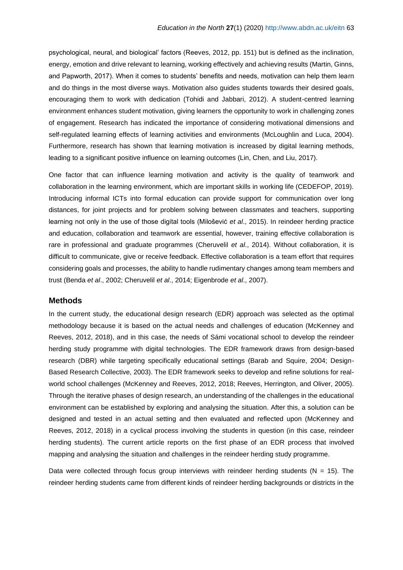psychological, neural, and biological' factors (Reeves, 2012, pp. 151) but is defined as the inclination, energy, emotion and drive relevant to learning, working effectively and achieving results (Martin, Ginns, and Papworth, 2017). When it comes to students' benefits and needs, motivation can help them learn and do things in the most diverse ways. Motivation also guides students towards their desired goals, encouraging them to work with dedication (Tohidi and Jabbari, 2012). A student-centred learning environment enhances student motivation, giving learners the opportunity to work in challenging zones of engagement. Research has indicated the importance of considering motivational dimensions and self-regulated learning effects of learning activities and environments (McLoughlin and Luca, 2004). Furthermore, research has shown that learning motivation is increased by digital learning methods, leading to a significant positive influence on learning outcomes (Lin, Chen, and Liu, 2017).

One factor that can influence learning motivation and activity is the quality of teamwork and collaboration in the learning environment, which are important skills in working life (CEDEFOP, 2019). Introducing informal ICTs into formal education can provide support for communication over long distances, for joint projects and for problem solving between classmates and teachers, supporting learning not only in the use of those digital tools (Milošević *et al*., 2015). In reindeer herding practice and education, collaboration and teamwork are essential, however, training effective collaboration is rare in professional and graduate programmes (Cheruvelil *et al*., 2014). Without collaboration, it is difficult to communicate, give or receive feedback. Effective collaboration is a team effort that requires considering goals and processes, the ability to handle rudimentary changes among team members and trust (Benda *et al*., 2002; Cheruvelil *et al*., 2014; Eigenbrode *et al*., 2007).

#### **Methods**

In the current study, the educational design research (EDR) approach was selected as the optimal methodology because it is based on the actual needs and challenges of education (McKenney and Reeves, 2012, 2018), and in this case, the needs of Sámi vocational school to develop the reindeer herding study programme with digital technologies. The EDR framework draws from design-based research (DBR) while targeting specifically educational settings (Barab and Squire, 2004; Design-Based Research Collective, 2003). The EDR framework seeks to develop and refine solutions for realworld school challenges (McKenney and Reeves, 2012, 2018; Reeves, Herrington, and Oliver, 2005). Through the iterative phases of design research, an understanding of the challenges in the educational environment can be established by exploring and analysing the situation. After this, a solution can be designed and tested in an actual setting and then evaluated and reflected upon (McKenney and Reeves, 2012, 2018) in a cyclical process involving the students in question (in this case, reindeer herding students). The current article reports on the first phase of an EDR process that involved mapping and analysing the situation and challenges in the reindeer herding study programme.

Data were collected through focus group interviews with reindeer herding students ( $N = 15$ ). The reindeer herding students came from different kinds of reindeer herding backgrounds or districts in the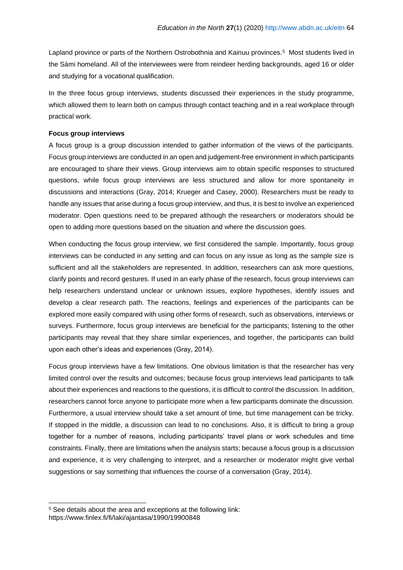Lapland province or parts of the Northern Ostrobothnia and Kainuu provinces.<sup>5</sup> Most students lived in the Sámi homeland. All of the interviewees were from reindeer herding backgrounds, aged 16 or older and studying for a vocational qualification.

In the three focus group interviews, students discussed their experiences in the study programme, which allowed them to learn both on campus through contact teaching and in a real workplace through practical work.

#### **Focus group interviews**

A focus group is a group discussion intended to gather information of the views of the participants. Focus group interviews are conducted in an open and judgement-free environment in which participants are encouraged to share their views. Group interviews aim to obtain specific responses to structured questions, while focus group interviews are less structured and allow for more spontaneity in discussions and interactions (Gray, 2014; Krueger and Casey, 2000). Researchers must be ready to handle any issues that arise during a focus group interview, and thus, it is best to involve an experienced moderator. Open questions need to be prepared although the researchers or moderators should be open to adding more questions based on the situation and where the discussion goes.

When conducting the focus group interview, we first considered the sample. Importantly, focus group interviews can be conducted in any setting and can focus on any issue as long as the sample size is sufficient and all the stakeholders are represented. In addition, researchers can ask more questions, clarify points and record gestures. If used in an early phase of the research, focus group interviews can help researchers understand unclear or unknown issues, explore hypotheses, identify issues and develop a clear research path. The reactions, feelings and experiences of the participants can be explored more easily compared with using other forms of research, such as observations, interviews or surveys. Furthermore, focus group interviews are beneficial for the participants; listening to the other participants may reveal that they share similar experiences, and together, the participants can build upon each other's ideas and experiences (Gray, 2014).

Focus group interviews have a few limitations. One obvious limitation is that the researcher has very limited control over the results and outcomes; because focus group interviews lead participants to talk about their experiences and reactions to the questions, it is difficult to control the discussion. In addition, researchers cannot force anyone to participate more when a few participants dominate the discussion. Furthermore, a usual interview should take a set amount of time, but time management can be tricky. If stopped in the middle, a discussion can lead to no conclusions. Also, it is difficult to bring a group together for a number of reasons, including participants' travel plans or work schedules and time constraints. Finally, there are limitations when the analysis starts; because a focus group is a discussion and experience, it is very challenging to interpret, and a researcher or moderator might give verbal suggestions or say something that influences the course of a conversation (Gray, 2014).

<sup>5</sup> See details about the area and exceptions at the following link: https://www.finlex.fi/fi/laki/ajantasa/1990/19900848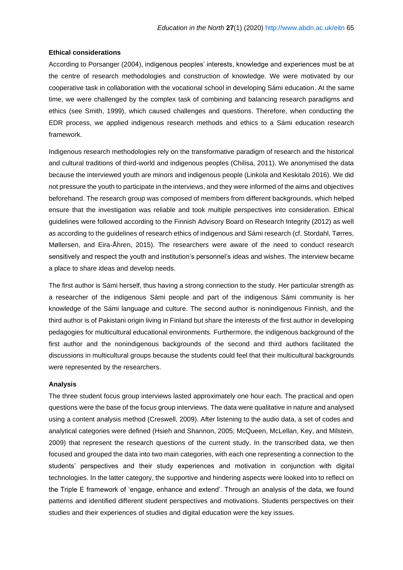#### **Ethical considerations**

According to Porsanger (2004), indigenous peoples' interests, knowledge and experiences must be at the centre of research methodologies and construction of knowledge. We were motivated by our cooperative task in collaboration with the vocational school in developing Sámi education. At the same time, we were challenged by the complex task of combining and balancing research paradigms and ethics (see Smith, 1999), which caused challenges and questions. Therefore, when conducting the EDR process, we applied indigenous research methods and ethics to a Sámi education research framework.

Indigenous research methodologies rely on the transformative paradigm of research and the historical and cultural traditions of third-world and indigenous peoples (Chilisa, 2011). We anonymised the data because the interviewed youth are minors and indigenous people (Linkola and Keskitalo 2016). We did not pressure the youth to participate in the interviews, and they were informed of the aims and objectives beforehand. The research group was composed of members from different backgrounds, which helped ensure that the investigation was reliable and took multiple perspectives into consideration. Ethical guidelines were followed according to the Finnish Advisory Board on Research Integrity (2012) as well as according to the guidelines of research ethics of indigenous and Sámi research (cf. Stordahl, Tørres, Møllersen, and Eira-Åhren, 2015). The researchers were aware of the need to conduct research sensitively and respect the youth and institution's personnel's ideas and wishes. The interview became a place to share ideas and develop needs.

The first author is Sámi herself, thus having a strong connection to the study. Her particular strength as a researcher of the indigenous Sámi people and part of the indigenous Sámi community is her knowledge of the Sámi language and culture. The second author is nonindigenous Finnish, and the third author is of Pakistani origin living in Finland but share the interests of the first author in developing pedagogies for multicultural educational environments. Furthermore, the indigenous background of the first author and the nonindigenous backgrounds of the second and third authors facilitated the discussions in multicultural groups because the students could feel that their multicultural backgrounds were represented by the researchers.

#### **Analysis**

The three student focus group interviews lasted approximately one hour each. The practical and open questions were the base of the focus group interviews. The data were qualitative in nature and analysed using a content analysis method (Creswell, 2009). After listening to the audio data, a set of codes and analytical categories were defined (Hsieh and Shannon, 2005; McQueen, McLellan, Key, and Milstein, 2009) that represent the research questions of the current study. In the transcribed data, we then focused and grouped the data into two main categories, with each one representing a connection to the students' perspectives and their study experiences and motivation in conjunction with digital technologies. In the latter category, the supportive and hindering aspects were looked into to reflect on the Triple E framework of 'engage, enhance and extend'. Through an analysis of the data, we found patterns and identified different student perspectives and motivations. Students perspectives on their studies and their experiences of studies and digital education were the key issues.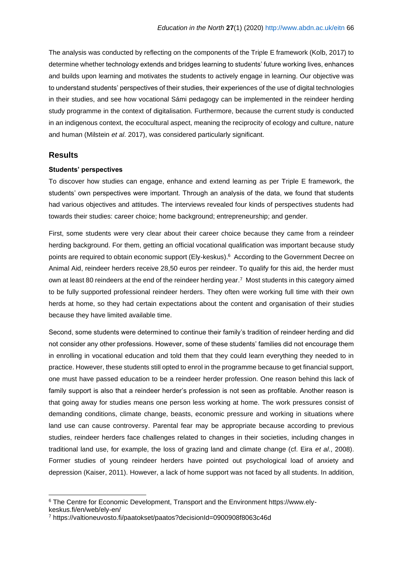The analysis was conducted by reflecting on the components of the Triple E framework (Kolb, 2017) to determine whether technology extends and bridges learning to students' future working lives, enhances and builds upon learning and motivates the students to actively engage in learning. Our objective was to understand students' perspectives of their studies, their experiences of the use of digital technologies in their studies, and see how vocational Sámi pedagogy can be implemented in the reindeer herding study programme in the context of digitalisation. Furthermore, because the current study is conducted in an indigenous context, the ecocultural aspect, meaning the reciprocity of ecology and culture, nature and human (Milstein *et al*. 2017), was considered particularly significant.

#### **Results**

#### **Students' perspectives**

To discover how studies can engage, enhance and extend learning as per Triple E framework, the students' own perspectives were important. Through an analysis of the data, we found that students had various objectives and attitudes. The interviews revealed four kinds of perspectives students had towards their studies: career choice; home background; entrepreneurship; and gender.

First, some students were very clear about their career choice because they came from a reindeer herding background. For them, getting an official vocational qualification was important because study points are required to obtain economic support (Ely-keskus).<sup>6</sup> According to the Government Decree on Animal Aid, reindeer herders receive 28,50 euros per reindeer. To qualify for this aid, the herder must own at least 80 reindeers at the end of the reindeer herding year.<sup>7</sup> Most students in this category aimed to be fully supported professional reindeer herders. They often were working full time with their own herds at home, so they had certain expectations about the content and organisation of their studies because they have limited available time.

Second, some students were determined to continue their family's tradition of reindeer herding and did not consider any other professions. However, some of these students' families did not encourage them in enrolling in vocational education and told them that they could learn everything they needed to in practice. However, these students still opted to enrol in the programme because to get financial support, one must have passed education to be a reindeer herder profession. One reason behind this lack of family support is also that a reindeer herder's profession is not seen as profitable. Another reason is that going away for studies means one person less working at home. The work pressures consist of demanding conditions, climate change, beasts, economic pressure and working in situations where land use can cause controversy. Parental fear may be appropriate because according to previous studies, reindeer herders face challenges related to changes in their societies, including changes in traditional land use, for example, the loss of grazing land and climate change (cf. Eira *et al*., 2008). Former studies of young reindeer herders have pointed out psychological load of anxiety and depression (Kaiser, 2011). However, a lack of home support was not faced by all students. In addition,

<sup>6</sup> The Centre for Economic Development, Transport and the Environment https://www.ely-

keskus.fi/en/web/ely-en/

<sup>7</sup> https://valtioneuvosto.fi/paatokset/paatos?decisionId=0900908f8063c46d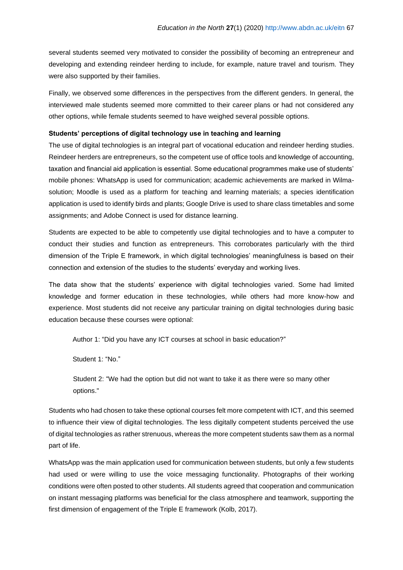several students seemed very motivated to consider the possibility of becoming an entrepreneur and developing and extending reindeer herding to include, for example, nature travel and tourism. They were also supported by their families.

Finally, we observed some differences in the perspectives from the different genders. In general, the interviewed male students seemed more committed to their career plans or had not considered any other options, while female students seemed to have weighed several possible options.

#### **Students' perceptions of digital technology use in teaching and learning**

The use of digital technologies is an integral part of vocational education and reindeer herding studies. Reindeer herders are entrepreneurs, so the competent use of office tools and knowledge of accounting, taxation and financial aid application is essential. Some educational programmes make use of students' mobile phones: WhatsApp is used for communication; academic achievements are marked in Wilmasolution; Moodle is used as a platform for teaching and learning materials; a species identification application is used to identify birds and plants; Google Drive is used to share class timetables and some assignments; and Adobe Connect is used for distance learning.

Students are expected to be able to competently use digital technologies and to have a computer to conduct their studies and function as entrepreneurs. This corroborates particularly with the third dimension of the Triple E framework, in which digital technologies' meaningfulness is based on their connection and extension of the studies to the students' everyday and working lives.

The data show that the students' experience with digital technologies varied. Some had limited knowledge and former education in these technologies, while others had more know-how and experience. Most students did not receive any particular training on digital technologies during basic education because these courses were optional:

Author 1: "Did you have any ICT courses at school in basic education?"

Student 1: "No."

Student 2: "We had the option but did not want to take it as there were so many other options."

Students who had chosen to take these optional courses felt more competent with ICT, and this seemed to influence their view of digital technologies. The less digitally competent students perceived the use of digital technologies as rather strenuous, whereas the more competent students saw them as a normal part of life.

WhatsApp was the main application used for communication between students, but only a few students had used or were willing to use the voice messaging functionality. Photographs of their working conditions were often posted to other students. All students agreed that cooperation and communication on instant messaging platforms was beneficial for the class atmosphere and teamwork, supporting the first dimension of engagement of the Triple E framework (Kolb, 2017).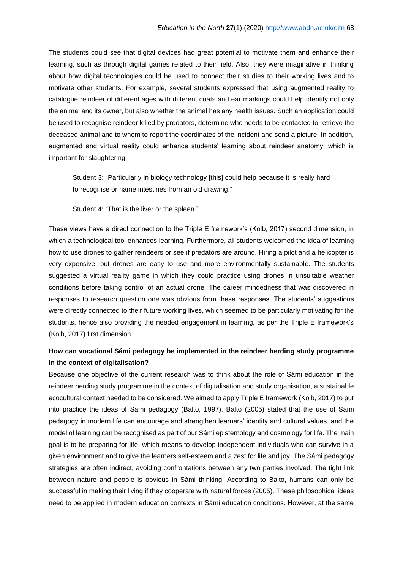The students could see that digital devices had great potential to motivate them and enhance their learning, such as through digital games related to their field. Also, they were imaginative in thinking about how digital technologies could be used to connect their studies to their working lives and to motivate other students. For example, several students expressed that using augmented reality to catalogue reindeer of different ages with different coats and ear markings could help identify not only the animal and its owner, but also whether the animal has any health issues. Such an application could be used to recognise reindeer killed by predators, determine who needs to be contacted to retrieve the deceased animal and to whom to report the coordinates of the incident and send a picture. In addition, augmented and virtual reality could enhance students' learning about reindeer anatomy, which is important for slaughtering:

Student 3: "Particularly in biology technology [this] could help because it is really hard to recognise or name intestines from an old drawing."

Student 4: "That is the liver or the spleen."

These views have a direct connection to the Triple E framework's (Kolb, 2017) second dimension, in which a technological tool enhances learning. Furthermore, all students welcomed the idea of learning how to use drones to gather reindeers or see if predators are around. Hiring a pilot and a helicopter is very expensive, but drones are easy to use and more environmentally sustainable. The students suggested a virtual reality game in which they could practice using drones in unsuitable weather conditions before taking control of an actual drone. The career mindedness that was discovered in responses to research question one was obvious from these responses. The students' suggestions were directly connected to their future working lives, which seemed to be particularly motivating for the students, hence also providing the needed engagement in learning, as per the Triple E framework's (Kolb, 2017) first dimension.

## **How can vocational Sámi pedagogy be implemented in the reindeer herding study programme in the context of digitalisation?**

Because one objective of the current research was to think about the role of Sámi education in the reindeer herding study programme in the context of digitalisation and study organisation, a sustainable ecocultural context needed to be considered. We aimed to apply Triple E framework (Kolb, 2017) to put into practice the ideas of Sámi pedagogy (Balto, 1997). Balto (2005) stated that the use of Sámi pedagogy in modern life can encourage and strengthen learners' identity and cultural values, and the model of learning can be recognised as part of our Sámi epistemology and cosmology for life. The main goal is to be preparing for life, which means to develop independent individuals who can survive in a given environment and to give the learners self-esteem and a zest for life and joy. The Sámi pedagogy strategies are often indirect, avoiding confrontations between any two parties involved. The tight link between nature and people is obvious in Sámi thinking. According to Balto, humans can only be successful in making their living if they cooperate with natural forces (2005). These philosophical ideas need to be applied in modern education contexts in Sámi education conditions. However, at the same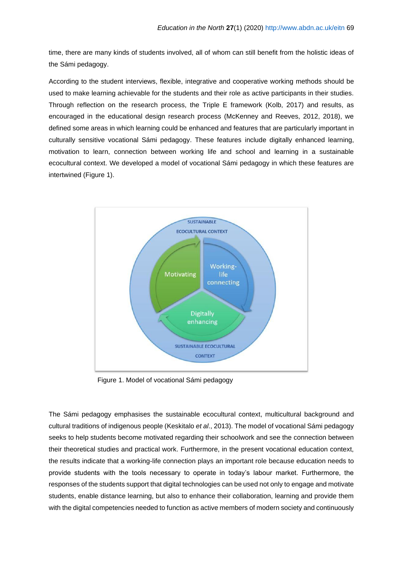time, there are many kinds of students involved, all of whom can still benefit from the holistic ideas of the Sámi pedagogy.

According to the student interviews, flexible, integrative and cooperative working methods should be used to make learning achievable for the students and their role as active participants in their studies. Through reflection on the research process, the Triple E framework (Kolb, 2017) and results, as encouraged in the educational design research process (McKenney and Reeves, 2012, 2018), we defined some areas in which learning could be enhanced and features that are particularly important in culturally sensitive vocational Sámi pedagogy. These features include digitally enhanced learning, motivation to learn, connection between working life and school and learning in a sustainable ecocultural context. We developed a model of vocational Sámi pedagogy in which these features are intertwined (Figure 1).



Figure 1. Model of vocational Sámi pedagogy

The Sámi pedagogy emphasises the sustainable ecocultural context, multicultural background and cultural traditions of indigenous people (Keskitalo *et al*., 2013). The model of vocational Sámi pedagogy seeks to help students become motivated regarding their schoolwork and see the connection between their theoretical studies and practical work. Furthermore, in the present vocational education context, the results indicate that a working-life connection plays an important role because education needs to provide students with the tools necessary to operate in today's labour market. Furthermore, the responses of the students support that digital technologies can be used not only to engage and motivate students, enable distance learning, but also to enhance their collaboration, learning and provide them with the digital competencies needed to function as active members of modern society and continuously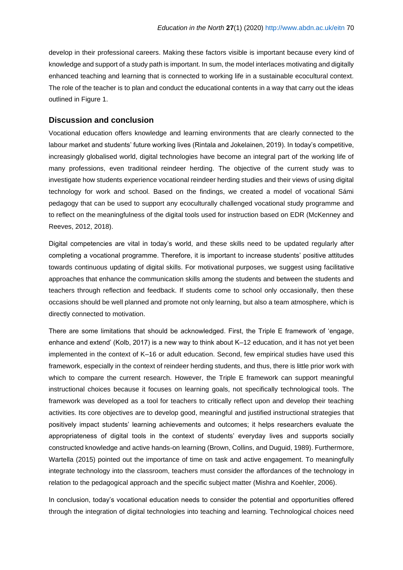develop in their professional careers. Making these factors visible is important because every kind of knowledge and support of a study path is important. In sum, the model interlaces motivating and digitally enhanced teaching and learning that is connected to working life in a sustainable ecocultural context. The role of the teacher is to plan and conduct the educational contents in a way that carry out the ideas outlined in Figure 1.

### **Discussion and conclusion**

Vocational education offers knowledge and learning environments that are clearly connected to the labour market and students' future working lives (Rintala and Jokelainen, 2019). In today's competitive, increasingly globalised world, digital technologies have become an integral part of the working life of many professions, even traditional reindeer herding. The objective of the current study was to investigate how students experience vocational reindeer herding studies and their views of using digital technology for work and school. Based on the findings, we created a model of vocational Sámi pedagogy that can be used to support any ecoculturally challenged vocational study programme and to reflect on the meaningfulness of the digital tools used for instruction based on EDR (McKenney and Reeves, 2012, 2018).

Digital competencies are vital in today's world, and these skills need to be updated regularly after completing a vocational programme. Therefore, it is important to increase students' positive attitudes towards continuous updating of digital skills. For motivational purposes, we suggest using facilitative approaches that enhance the communication skills among the students and between the students and teachers through reflection and feedback. If students come to school only occasionally, then these occasions should be well planned and promote not only learning, but also a team atmosphere, which is directly connected to motivation.

There are some limitations that should be acknowledged. First, the Triple E framework of 'engage, enhance and extend' (Kolb, 2017) is a new way to think about K–12 education, and it has not yet been implemented in the context of K–16 or adult education. Second, few empirical studies have used this framework, especially in the context of reindeer herding students, and thus, there is little prior work with which to compare the current research. However, the Triple E framework can support meaningful instructional choices because it focuses on learning goals, not specifically technological tools. The framework was developed as a tool for teachers to critically reflect upon and develop their teaching activities. Its core objectives are to develop good, meaningful and justified instructional strategies that positively impact students' learning achievements and outcomes; it helps researchers evaluate the appropriateness of digital tools in the context of students' everyday lives and supports socially constructed knowledge and active hands-on learning (Brown, Collins, and Duguid, 1989). Furthermore, Wartella (2015) pointed out the importance of time on task and active engagement. To meaningfully integrate technology into the classroom, teachers must consider the affordances of the technology in relation to the pedagogical approach and the specific subject matter (Mishra and Koehler, 2006).

In conclusion, today's vocational education needs to consider the potential and opportunities offered through the integration of digital technologies into teaching and learning. Technological choices need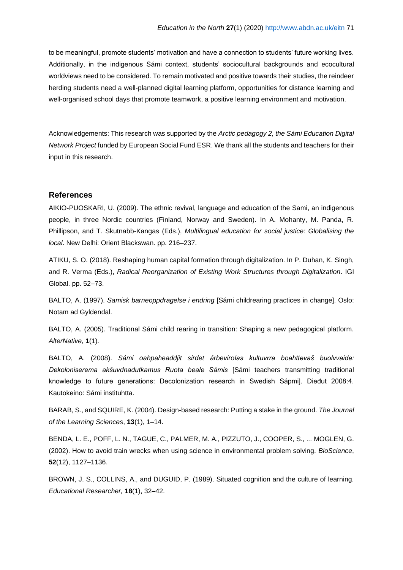to be meaningful, promote students' motivation and have a connection to students' future working lives. Additionally, in the indigenous Sámi context, students' sociocultural backgrounds and ecocultural worldviews need to be considered. To remain motivated and positive towards their studies, the reindeer herding students need a well-planned digital learning platform, opportunities for distance learning and well-organised school days that promote teamwork, a positive learning environment and motivation.

Acknowledgements: This research was supported by the *Arctic pedagogy 2, the Sámi Education Digital Network Project* funded by European Social Fund ESR. We thank all the students and teachers for their input in this research.

#### **References**

AIKIO-PUOSKARI, U. (2009). The ethnic revival, language and education of the Sami, an indigenous people, in three Nordic countries (Finland, Norway and Sweden). In A. Mohanty, M. Panda, R. Phillipson, and T. Skutnabb-Kangas (Eds.), *Multilingual education for social justice: Globalising the local*. New Delhi: Orient Blackswan*.* pp. 216–237.

ATIKU, S. O. (2018). Reshaping human capital formation through digitalization. In P. Duhan, K. Singh, and R. Verma (Eds.), *Radical Reorganization of Existing Work Structures through Digitalization*. IGI Global. pp. 52–73.

BALTO, A. (1997). *Samisk barneoppdragelse i endring* [Sámi childrearing practices in change]. Oslo: Notam ad Gyldendal.

BALTO, A. (2005). Traditional Sámi child rearing in transition: Shaping a new pedagogical platform. *AlterNative,* **1**(1)*.*

BALTO, A. (2008). *Sámi oahpaheaddjit sirdet árbevirolas kultuvrra boahttevaš buolvvaide: Dekoloniserema akšuvdnadutkamus Ruota beale Sámis* [Sámi teachers transmitting traditional knowledge to future generations: Decolonization research in Swedish Sápmi]. Dieđut 2008:4. Kautokeino: Sámi instituhtta.

BARAB, S., and SQUIRE, K. (2004). Design-based research: Putting a stake in the ground. *The Journal of the Learning Sciences*, **13**(1), 1–14.

BENDA, L. E., POFF, L. N., TAGUE, C., PALMER, M. A., PIZZUTO, J., COOPER, S., ... MOGLEN, G. (2002). How to avoid train wrecks when using science in environmental problem solving. *BioScience*, **52**(12), 1127–1136.

BROWN, J. S., COLLINS, A., and DUGUID, P. (1989). Situated cognition and the culture of learning. *Educational Researcher,* **18**(1), 32–42.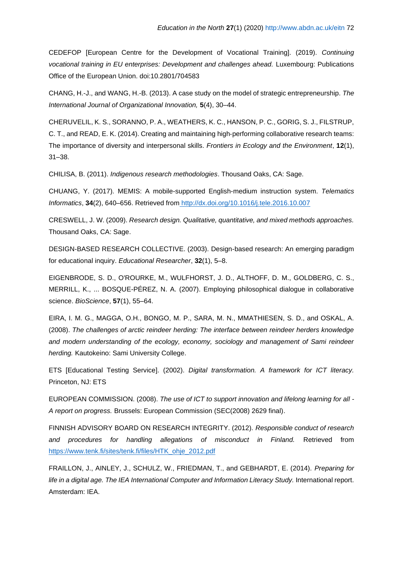CEDEFOP [European Centre for the Development of Vocational Training]. (2019). *Continuing vocational training in EU enterprises: Development and challenges ahead.* Luxembourg: Publications Office of the European Union. doi:10.2801/704583

CHANG, H.-J., and WANG, H.-B. (2013). A case study on the model of strategic entrepreneurship. *The International Journal of Organizational Innovation,* **5**(4), 30–44.

CHERUVELIL, K. S., SORANNO, P. A., WEATHERS, K. C., HANSON, P. C., GORIG, S. J., FILSTRUP, C. T., and READ, E. K. (2014). Creating and maintaining high‐performing collaborative research teams: The importance of diversity and interpersonal skills. *Frontiers in Ecology and the Environment*, **12**(1), 31–38.

CHILISA, B. (2011). *Indigenous research methodologies*. Thousand Oaks, CA: Sage.

CHUANG, Y. (2017). MEMIS: A mobile-supported English-medium instruction system. *Telematics Informatics*, **34**(2), 640–656. Retrieved fro[m](file:///C:/Users/pilauham/AppData/Local/Temp/) <http://dx.doi.org/10.1016/j.tele.2016.10.007>

CRESWELL, J. W. (2009). *Research design. Qualitative, quantitative, and mixed methods approaches.* Thousand Oaks, CA: Sage.

DESIGN-BASED RESEARCH COLLECTIVE. (2003). Design-based research: An emerging paradigm for educational inquiry. *Educational Researcher*, **32**(1), 5–8[.](https://doi.org/10.1890/130001)

EIGENBRODE, S. D., O'ROURKE, M., WULFHORST, J. D., ALTHOFF, D. M., GOLDBERG, C. S., MERRILL, K., ... BOSQUE-PÉREZ, N. A. (2007). Employing philosophical dialogue in collaborative science. *BioScience*, **57**(1), 55–64.

EIRA, I. M. G., MAGGA, O.H., BONGO, M. P., SARA, M. N., MMATHIESEN, S. D., and OSKAL, A. (2008). *The challenges of arctic reindeer herding: The interface between reindeer herders knowledge and modern understanding of the ecology, economy, sociology and management of Sami reindeer herding.* Kautokeino: Sami University College.

ETS [Educational Testing Service]. (2002). *Digital transformation. A framework for ICT literacy.*  Princeton, NJ: ETS

EUROPEAN COMMISSION. (2008). *The use of ICT to support innovation and lifelong learning for all - A report on progress.* Brussels: European Commission (SEC(2008) 2629 final).

FINNISH ADVISORY BOARD ON RESEARCH INTEGRITY. (2012). *Responsible conduct of research and procedures for handling allegations of misconduct in Finland.* Retrieved fro[m](https://www.tenk.fi/sites/tenk.fi/files/HTK_ohje_2012.pdf) [https://www.tenk.fi/sites/tenk.fi/files/HTK\\_ohje\\_2012.pdf](https://www.tenk.fi/sites/tenk.fi/files/HTK_ohje_2012.pdf)

FRAILLON, J., AINLEY, J., SCHULZ, W., FRIEDMAN, T., and GEBHARDT, E. (2014). *Preparing for*  life in a digital age. The IEA International Computer and Information Literacy Study. International report. Amsterdam: IEA.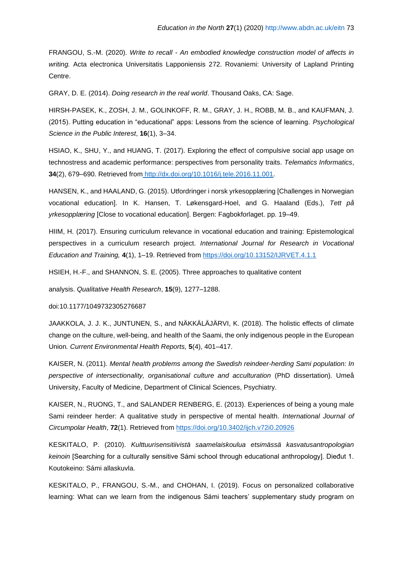FRANGOU, S.-M. (2020). *Write to recall - An embodied knowledge construction model of affects in writing.* Acta electronica Universitatis Lapponiensis 272. Rovaniemi: University of Lapland Printing Centre.

GRAY, D. E. (2014). *Doing research in the real world*. Thousand Oaks, CA: Sage.

HIRSH-PASEK, K., ZOSH, J. M., GOLINKOFF, R. M., GRAY, J. H., ROBB, M. B., and KAUFMAN, J. (2015). Putting education in "educational" apps: Lessons from the science of learning. *Psychological Science in the Public Interest*, **16**(1), 3–34.

HSIAO, K., SHU, Y., and HUANG, T. (2017). Exploring the effect of compulsive social app usage on technostress and academic performance: perspectives from personality traits. *Telematics Informatics*, **34**(2), 679–690. Retrieved from [http://dx.doi.org/10.1016/j.tele.2016.11.001.](http://dx.doi.org/10.1016/j.tele.2016.11.001)

HANSEN, K., and HAALAND, G. (2015). Utfordringer i norsk yrkesopplæring [Challenges in Norwegian vocational education]. In K. Hansen, T. Løkensgard-Hoel, and G. Haaland (Eds.), *Tett på yrkesopplæring* [Close to vocational education]. Bergen: Fagbokforlaget. pp. 19–49.

HIIM, H. (2017). Ensuring curriculum relevance in vocational education and training: Epistemological perspectives in a curriculum research project. *International Journal for Research in Vocational Education and Training,* **4**(1), 1–19. Retrieved from<https://doi.org/10.13152/IJRVET.4.1.1>

HSIEH, H.-F., and SHANNON, S. E. (2005). Three approaches to qualitative content

analysis. *Qualitative Health Research*, **15**(9), 1277–1288.

doi:10.1177/1049732305276687

JAAKKOLA, J. J. K., JUNTUNEN, S., and NÄKKÄLÄJÄRVI, K. (2018). The holistic effects of climate change on the culture, well-being, and health of the Saami, the only indigenous people in the European Union*. Current Environmental Health Reports,* **5**(4), 401–417.

KAISER, N. (2011). *Mental health problems among the Swedish reindeer-herding Sami population: In perspective of intersectionality, organisational culture and acculturation* (PhD dissertation)*.* Umeå University, Faculty of Medicine, Department of Clinical Sciences, Psychiatry.

[KAISER,](https://www.tandfonline.com/author/Kaiser%2C+Niclas) N., [RUONG,](https://www.tandfonline.com/author/Ruong%2C+Terje) T., and [SALANDER RENBERG,](https://www.tandfonline.com/author/Salander+Renberg%2C+Ellinor) E. (2013). Experiences of being a young male Sami reindeer herder: A qualitative study in perspective of mental health. *[International Journal of](https://www.tandfonline.com/toc/zich20/current)  [Circumpolar Health](https://www.tandfonline.com/toc/zich20/current)*, **72**[\(1\)](https://www.tandfonline.com/toc/zich20/72/1). Retrieved from<https://doi.org/10.3402/ijch.v72i0.20926>

KESKITALO, P. (2010). *Kulttuurisensitiivistä saamelaiskoulua etsimässä kasvatusantropologian keinoin* [Searching for a culturally sensitive Sámi school through educational anthropology]. Dieđut 1. Koutokeino: Sámi allaskuvla.

KESKITALO, P., FRANGOU, S.-M., and CHOHAN, I. (2019). Focus on personalized collaborative learning: What can we learn from the indigenous Sámi teachers' supplementary study program on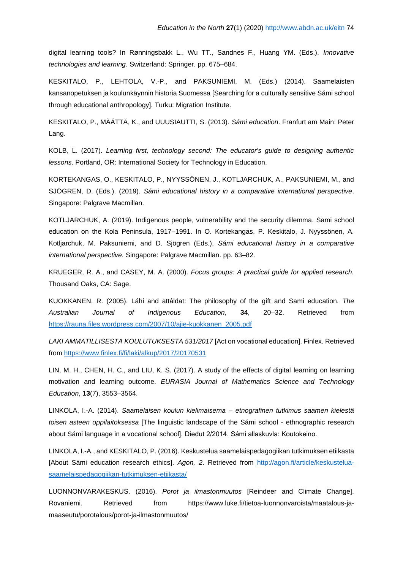digital learning tools? In Rønningsbakk L., Wu TT., Sandnes F., Huang YM. (Eds.), *Innovative technologies and learning*. Switzerland: Springer. pp. 675–684.

KESKITALO, P., LEHTOLA, V.-P., and PAKSUNIEMI, M. (Eds.) (2014). Saamelaisten kansanopetuksen ja koulunkäynnin historia Suomessa [Searching for a culturally sensitive Sámi school through educational anthropology]. Turku: Migration Institute.

KESKITALO, P., MÄÄTTÄ, K., and UUUSIAUTTI, S. (2013). *Sámi education*. Franfurt am Main: Peter Lang.

KOLB, L. (2017). *Learning first, technology second: The educator's guide to designing authentic lessons*. Portland, OR: International Society for Technology in Education.

KORTEKANGAS, O., KESKITALO, P., NYYSSÖNEN, J., KOTLJARCHUK, A., PAKSUNIEMI, M., and SJÖGREN, D. (Eds.). (2019). *Sámi educational history in a comparative international perspective*. Singapore: Palgrave Macmillan.

KOTLJARCHUK, A. (2019). Indigenous people, vulnerability and the security dilemma. Sami school education on the Kola Peninsula, 1917–1991. In O. Kortekangas, P. Keskitalo, J. Nyyssönen, A. Kotljarchuk, M. Paksuniemi, and D. Sjögren (Eds.), *Sámi educational history in a comparative international perspective.* Singapore: Palgrave Macmillan. pp. 63–82.

KRUEGER, R. A., and CASEY, M. A. (2000). *Focus groups: A practical guide for applied research.* Thousand Oaks, CA: Sage.

KUOKKANEN, R. (2005). Láhi and attáldat: The philosophy of the gift and Sami education. *The Australian Journal of Indigenous Education*, **34**, 20–32. Retrieved from [https://rauna.files.wordpress.com/2007/10/ajie-kuokkanen\\_2005.pdf](https://rauna.files.wordpress.com/2007/10/ajie-kuokkanen_2005.pdf)

*LAKI AMMATILLISESTA KOULUTUKSESTA 531/2017* [Act on vocational education]. Finlex. Retrieved from<https://www.finlex.fi/fi/laki/alkup/2017/20170531>

LIN, M. H., CHEN, H. C., and LIU, K. S. (2017). A study of the effects of digital learning on learning motivation and learning outcome. *EURASIA Journal of Mathematics Science and Technology Education*, **13**(7), 3553–3564.

LINKOLA, I.-A. (2014). *Saamelaisen koulun kielimaisema – etnografinen tutkimus saamen kielestä toisen asteen oppilaitoksessa* [The linguistic landscape of the Sámi school - ethnographic research about Sámi language in a vocational school]. Dieđut 2/2014. Sámi allaskuvla: Koutokeino.

LINKOLA, I.-A., and KESKITALO, P. (2016). Keskustelua saamelaispedagogiikan tutkimuksen etiikasta [About Sámi education research ethics]. *Agon, 2*. Retrieved from [http://agon.fi/article/keskustelua](http://agon.fi/article/keskustelua-saamelaispedagogiikan-tutkimuksen-etiikasta/)[saamelaispedagogiikan-tutkimuksen-etiikasta/](http://agon.fi/article/keskustelua-saamelaispedagogiikan-tutkimuksen-etiikasta/)

LUONNONVARAKESKUS. (2016). *Porot ja ilmastonmuutos* [Reindeer and Climate Change]. Rovaniemi. Retrieved from https://www.luke.fi/tietoa-luonnonvaroista/maatalous-jamaaseutu/porotalous/porot-ja-ilmastonmuutos/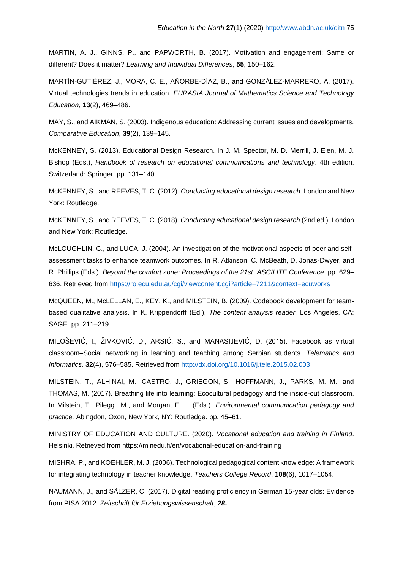MARTIN, A. J., GINNS, P., and PAPWORTH, B. (2017). Motivation and engagement: Same or different? Does it matter? *Learning and Individual Differences*, **55**, 150–162.

MARTÍN-GUTIÉREZ, J., MORA, C. E., AÑORBE-DÍAZ, B., and GONZÁLEZ-MARRERO, A. (2017). Virtual technologies trends in education. *EURASIA Journal of Mathematics Science and Technology Education*, **13**(2), 469–486.

MAY, S., and AIKMAN, S. (2003). Indigenous education: Addressing current issues and developments. *Comparative Education*, **39**(2), 139–145.

McKENNEY, S. (2013). Educational Design Research. In J. M. Spector, M. D. Merrill, J. Elen, M. J. Bishop (Eds.), *[Handbook of research on educational communications and technology](https://www.researchgate.net/publication/319460450_Handbook_of_research_on_educational_communications_and_technology_Fourth_edition)*[.](https://www.researchgate.net/publication/319460450_Handbook_of_research_on_educational_communications_and_technology_Fourth_edition) [4th edi](https://www.researchgate.net/publication/319460450_Handbook_of_research_on_educational_communications_and_technology_Fourth_edition)tion. Switzerland: Springer. pp. 131–140.

McKENNEY, S., and REEVES, T. C. (2012). *Conducting educational design research*. London and New York: Routledge.

McKENNEY, S., and REEVES, T. C. (2018). *Conducting educational design research* (2nd ed.). London and New York: Routledge.

McLOUGHLIN, C., and LUCA, J. (2004). An investigation of the motivational aspects of peer and selfassessment tasks to enhance teamwork outcomes. In R. Atkinson, C. McBeath, D. Jonas-Dwyer, and R. Phillips (Eds.), *Beyond the comfort zone: Proceedings of the 21st. ASCILITE Conference.* pp. 629– 636. Retrieved from<https://ro.ecu.edu.au/cgi/viewcontent.cgi?article=7211&context=ecuworks>

McQUEEN, M., McLELLAN, E., KEY, K., and MILSTEIN, B. (2009). Codebook development for teambased qualitative analysis. In K. Krippendorff (Ed.), *The content analysis reader.* Los Angeles, CA: SAGE. pp. 211–219.

MILOŠEVIĆ, I., ŽIVKOVIĆ, D., ARSIĆ, S., and MANASIJEVIĆ, D. (2015). Facebook as virtual classroom–Social networking in learning and teaching among Serbian students. *Telematics and Informatics,* **32**(4), 576–585. Retrieved fro[m](file:///C:/Users/pilauham/AppData/Local/Temp/) [http://dx.doi.org/10.1016/j.tele.2015.02.003.](http://dx.doi.org/10.1016/j.tele.2015.02.003)

MILSTEIN, T., ALHINAI, M., CASTRO, J., GRIEGON, S., HOFFMANN, J., PARKS, M. M., and THOMAS, M. (2017). Breathing life into learning: Ecocultural pedagogy and the inside-out classroom. In Milstein, T., Pileggi, M., and Morgan, E. L. (Eds.), *Environmental communication pedagogy and practice.* Abingdon, Oxon, New York, NY: Routledge. pp. 45–61.

MINISTRY OF EDUCATION AND CULTURE. (2020). *Vocational education and training in Finland*. Helsinki. Retrieved from https://minedu.fi/en/vocational-education-and-training

MISHRA, P., and KOEHLER, M. J. (2006). Technological pedagogical content knowledge: A framework for integrating technology in teacher knowledge. *Teachers College Record*, **108**(6), 1017–1054.

NAUMANN, J., and SÄLZER, C. (2017). Digital reading proficiency in German 15-year olds: Evidence from PISA 2012. *Zeitschrift für Erziehungswissenschaft*, *28***.**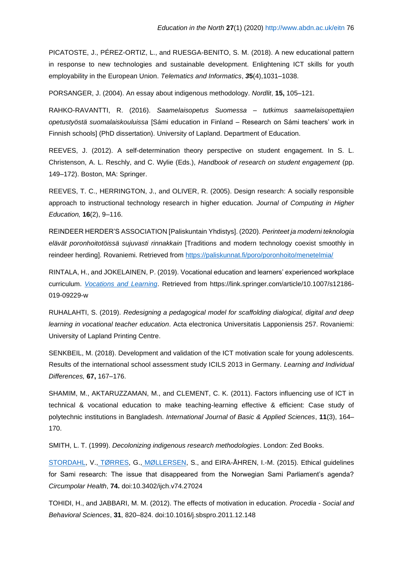PICATOSTE, J., PÉREZ-ORTIZ, L., and RUESGA-BENITO, S. M. (2018). A new educational pattern in response to new technologies and sustainable development. Enlightening ICT skills for youth employability in the European Union. *Telematics and Informatics*, *3***5**(4),1031–1038.

PORSANGER, J. (2004). An essay about indigenous methodology. *Nordlit*, **15,** 105–121.

RAHKO-RAVANTTI, R. (2016). *Saamelaisopetus Suomessa – tutkimus saamelaisopettajien opetustyöstä suomalaiskouluissa* [Sámi education in Finland – Research on Sámi teachers' work in Finnish schools] (PhD dissertation). University of Lapland. Department of Education.

REEVES, J. (2012). A self-determination theory perspective on student engagement. In S. L. Christenson, A. L. Reschly, and C. Wylie (Eds.), *Handbook of research on student engagement* (pp. 149–172). Boston, MA: Springer.

REEVES, T. C., HERRINGTON, J., and OLIVER, R. (2005). Design research: A socially responsible approach to instructional technology research in higher education. *Journal of Computing in Higher Education,* **16**(2), 9–116.

REINDEER HERDER'S ASSOCIATION [Paliskuntain Yhdistys]. (2020). *Perinteet ja moderni teknologia elävät poronhoitotöissä sujuvasti rinnakkain* [Traditions and modern technology coexist smoothly in reindeer herding]. Rovaniemi. Retrieved from<https://paliskunnat.fi/poro/poronhoito/menetelmia/>

RINTALA, H., and JOKELAINEN, P. (2019). Vocational education and learners' experienced workplace curriculum. *[Vocations and Learning](https://link.springer.com/journal/12186)*. Retrieved from https://link.springer.com/article/10.1007/s12186- 019-09229-w

RUHALAHTI, S. (2019). *Redesigning a pedagogical model for scaffolding dialogical, digital and deep learning in vocational teacher education*. Acta electronica Universitatis Lapponiensis 257. Rovaniemi: University of Lapland Printing Centre.

SENKBEIL, M. (2018). Development and validation of the ICT motivation scale for young adolescents. Results of the international school assessment study ICILS 2013 in Germany. *Learning and Individual Differences,* **67,** 167–176.

SHAMIM, M., AKTARUZZAMAN, M., and CLEMENT, C. K. (2011). Factors influencing use of ICT in technical & vocational education to make teaching-learning effective & efficient: Case study of polytechnic institutions in Bangladesh. *International Journal of Basic & Applied Sciences*, **11**(3), 164– 170.

SMITH, L. T. (1999). *Decolonizing indigenous research methodologies*. London: Zed Books.

[STORDAHL,](https://www.ncbi.nlm.nih.gov/pubmed/?term=Stordahl%20V%5BAuthor%5D&cauthor=true&cauthor_uid=25862334) V., [TØRRES,](https://www.ncbi.nlm.nih.gov/pubmed/?term=T%26%23x000f8%3Brres%20G%5BAuthor%5D&cauthor=true&cauthor_uid=25862334) G., [MØLLERSEN,](https://www.ncbi.nlm.nih.gov/pubmed/?term=M%26%23x000f8%3Bllersen%20S%5BAuthor%5D&cauthor=true&cauthor_uid=25862334) S., and EIRA-ÅHREN, I.-M. (2015). Ethical guidelines for Sami research: The issue that disappeared from the Norwegian Sami Parliament's agenda? *Circumpolar Health*, **74.** doi:10.3402/ijch.v74.27024

TOHIDI, H., and JABBARI, M. M. (2012). The effects of motivation in education. *Procedia - Social and Behavioral Sciences*, **31**, 820–824. doi:10.1016/j.sbspro.2011.12.148